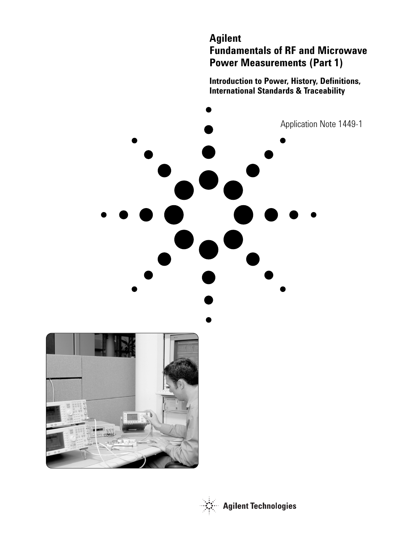# **Agilent Fundamentals of RF and Microwave Power Measurements (Part 1)**

**Introduction to Power, History, Definitions, International Standards & Traceability**





**Agilent Technologies**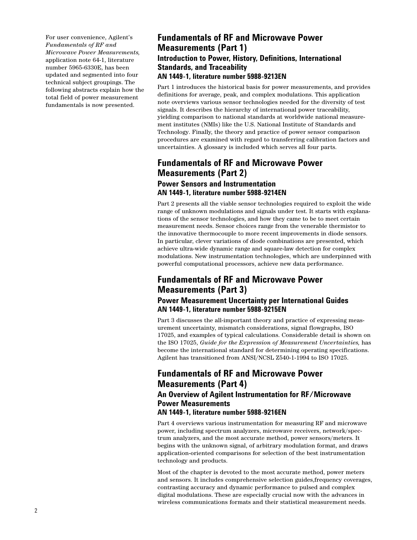For user convenience, Agilent's *Fundamentals of RF and Microwave Power Measurements,* application note 64-1, literature number 5965-6330E, has been updated and segmented into four technical subject groupings. The following abstracts explain how the total field of power measurement fundamentals is now presented.

# **Fundamentals of RF and Microwave Power Measurements (Part 1) Introduction to Power, History, Definitions, International Standards, and Traceability AN 1449-1, literature number 5988-9213EN**

Part 1 introduces the historical basis for power measurements, and provides definitions for average, peak, and complex modulations. This application note overviews various sensor technologies needed for the diversity of test signals. It describes the hierarchy of international power traceability, yielding comparison to national standards at worldwide national measurement institutes (NMIs) like the U.S. National Institute of Standards and Technology. Finally, the theory and practice of power sensor comparison procedures are examined with regard to transferring calibration factors and uncertainties. A glossary is included which serves all four parts.

# **Fundamentals of RF and Microwave Power Measurements (Part 2)**

## **Power Sensors and Instrumentation AN 1449-1, literature number 5988-9214EN**

Part 2 presents all the viable sensor technologies required to exploit the wide range of unknown modulations and signals under test. It starts with explanations of the sensor technologies, and how they came to be to meet certain measurement needs. Sensor choices range from the venerable thermistor to the innovative thermocouple to more recent improvements in diode sensors. In particular, clever variations of diode combinations are presented, which achieve ultra-wide dynamic range and square-law detection for complex modulations. New instrumentation technologies, which are underpinned with powerful computational processors, achieve new data performance.

# **Fundamentals of RF and Microwave Power Measurements (Part 3)**

## **Power Measurement Uncertainty per International Guides AN 1449-1, literature number 5988-9215EN**

Part 3 discusses the all-important theory and practice of expressing measurement uncertainty, mismatch considerations, signal flowgraphs, ISO 17025, and examples of typical calculations. Considerable detail is shown on the ISO 17025, *Guide for the Expression of Measurement Uncertainties,* has become the international standard for determining operating specifications. Agilent has transitioned from ANSI/NCSL Z540-1-1994 to ISO 17025.

# **Fundamentals of RF and Microwave Power Measurements (Part 4)**

# **An Overview of Agilent Instrumentation for RF/Microwave Power Measurements**

## **AN 1449-1, literature number 5988-9216EN**

Part 4 overviews various instrumentation for measuring RF and microwave power, including spectrum analyzers, microwave receivers, network/spectrum analyzers, and the most accurate method, power sensors/meters. It begins with the unknown signal, of arbitrary modulation format, and draws application-oriented comparisons for selection of the best instrumentation technology and products.

Most of the chapter is devoted to the most accurate method, power meters and sensors. It includes comprehensive selection guides,frequency coverages, contrasting accuracy and dynamic performance to pulsed and complex digital modulations. These are especially crucial now with the advances in wireless communications formats and their statistical measurement needs.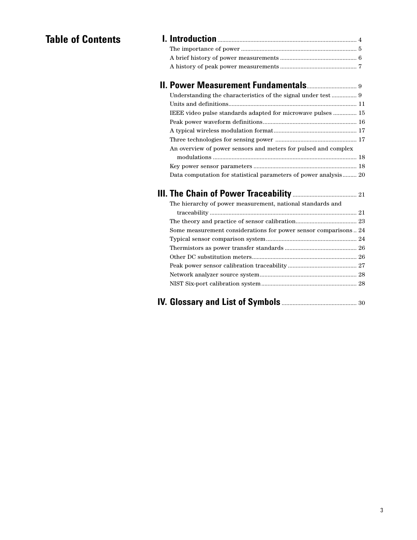# **Table of Contents I. Introduction**......................................................................................... 4

| <b>II. Power Measurement Fundamentals</b> 9                      |  |
|------------------------------------------------------------------|--|
|                                                                  |  |
|                                                                  |  |
| IEEE video pulse standards adapted for microwave pulses  15      |  |
|                                                                  |  |
|                                                                  |  |
|                                                                  |  |
| An overview of power sensors and meters for pulsed and complex   |  |
|                                                                  |  |
|                                                                  |  |
| Data computation for statistical parameters of power analysis 20 |  |
|                                                                  |  |
| The hierarchy of power measurement, national standards and       |  |
|                                                                  |  |
|                                                                  |  |
| Some measurement considerations for power sensor comparisons24   |  |
|                                                                  |  |
|                                                                  |  |
|                                                                  |  |
|                                                                  |  |
|                                                                  |  |
|                                                                  |  |
|                                                                  |  |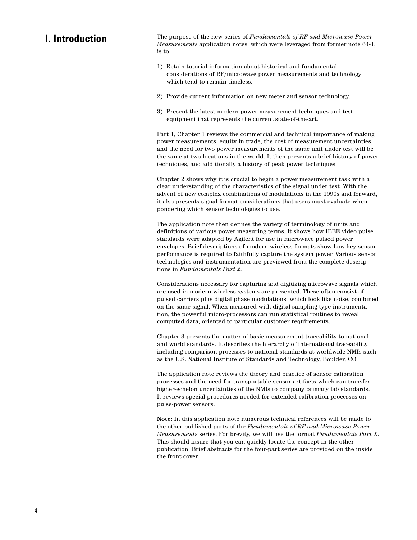# **I. Introduction**

The purpose of the new series of *Fundamentals of RF and Microwave Power Measurements* application notes, which were leveraged from former note 64-1, is to

- 1) Retain tutorial information about historical and fundamental considerations of RF/microwave power measurements and technology which tend to remain timeless.
- 2) Provide current information on new meter and sensor technology.
- 3) Present the latest modern power measurement techniques and test equipment that represents the current state-of-the-art.

Part 1, Chapter 1 reviews the commercial and technical importance of making power measurements, equity in trade, the cost of measurement uncertainties, and the need for two power measurements of the same unit under test will be the same at two locations in the world. It then presents a brief history of power techniques, and additionally a history of peak power techniques.

Chapter 2 shows why it is crucial to begin a power measurement task with a clear understanding of the characteristics of the signal under test. With the advent of new complex combinations of modulations in the 1990s and forward, it also presents signal format considerations that users must evaluate when pondering which sensor technologies to use.

The application note then defines the variety of terminology of units and definitions of various power measuring terms. It shows how IEEE video pulse standards were adapted by Agilent for use in microwave pulsed power envelopes. Brief descriptions of modern wireless formats show how key sensor performance is required to faithfully capture the system power. Various sensor technologies and instrumentation are previewed from the complete descriptions in *Fundamentals Part 2*.

Considerations necessary for capturing and digitizing microwave signals which are used in modern wireless systems are presented. These often consist of pulsed carriers plus digital phase modulations, which look like noise, combined on the same signal. When measured with digital sampling type instrumentation, the powerful micro-processors can run statistical routines to reveal computed data, oriented to particular customer requirements.

Chapter 3 presents the matter of basic measurement traceability to national and world standards. It describes the hierarchy of international traceability, including comparison processes to national standards at worldwide NMIs such as the U.S. National Institute of Standards and Technology, Boulder, CO.

The application note reviews the theory and practice of sensor calibration processes and the need for transportable sensor artifacts which can transfer higher-echelon uncertainties of the NMIs to company primary lab standards. It reviews special procedures needed for extended calibration processes on pulse-power sensors.

**Note:** In this application note numerous technical references will be made to the other published parts of the *Fundamentals of RF and Microwave Power Measurements* series. For brevity, we will use the format *Fundamentals Part X*. This should insure that you can quickly locate the concept in the other publication. Brief abstracts for the four-part series are provided on the inside the front cover.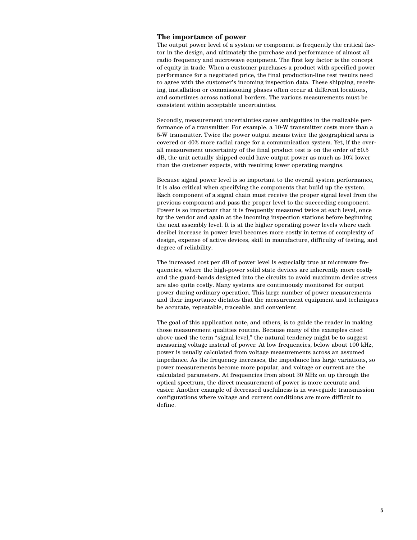### **The importance of power**

The output power level of a system or component is frequently the critical factor in the design, and ultimately the purchase and performance of almost all radio frequency and microwave equipment. The first key factor is the concept of equity in trade. When a customer purchases a product with specified power performance for a negotiated price, the final production-line test results need to agree with the customer's incoming inspection data. These shipping, receiving, installation or commissioning phases often occur at different locations, and sometimes across national borders. The various measurements must be consistent within acceptable uncertainties.

Secondly, measurement uncertainties cause ambiguities in the realizable performance of a transmitter. For example, a 10-W transmitter costs more than a 5-W transmitter. Twice the power output means twice the geographical area is covered or 40% more radial range for a communication system. Yet, if the overall measurement uncertainty of the final product test is on the order of ±0.5 dB, the unit actually shipped could have output power as much as 10% lower than the customer expects, with resulting lower operating margins.

Because signal power level is so important to the overall system performance, it is also critical when specifying the components that build up the system. Each component of a signal chain must receive the proper signal level from the previous component and pass the proper level to the succeeding component. Power is so important that it is frequently measured twice at each level, once by the vendor and again at the incoming inspection stations before beginning the next assembly level. It is at the higher operating power levels where each decibel increase in power level becomes more costly in terms of complexity of design, expense of active devices, skill in manufacture, difficulty of testing, and degree of reliability.

The increased cost per dB of power level is especially true at microwave frequencies, where the high-power solid state devices are inherently more costly and the guard-bands designed into the circuits to avoid maximum device stress are also quite costly. Many systems are continuously monitored for output power during ordinary operation. This large number of power measurements and their importance dictates that the measurement equipment and techniques be accurate, repeatable, traceable, and convenient.

The goal of this application note, and others, is to guide the reader in making those measurement qualities routine. Because many of the examples cited above used the term "signal level," the natural tendency might be to suggest measuring voltage instead of power. At low frequencies, below about 100 kHz, power is usually calculated from voltage measurements across an assumed impedance. As the frequency increases, the impedance has large variations, so power measurements become more popular, and voltage or current are the calculated parameters. At frequencies from about 30 MHz on up through the optical spectrum, the direct measurement of power is more accurate and easier. Another example of decreased usefulness is in waveguide transmission configurations where voltage and current conditions are more difficult to define.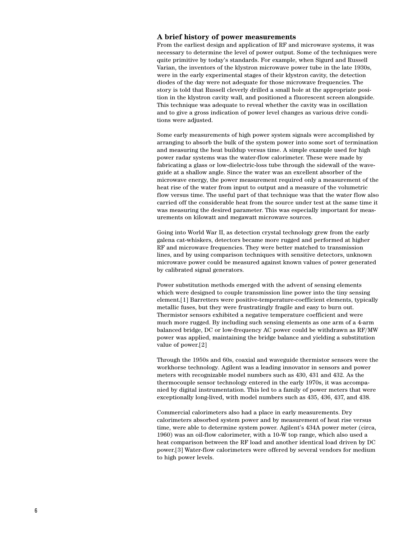#### **A brief history of power measurements**

From the earliest design and application of RF and microwave systems, it was necessary to determine the level of power output. Some of the techniques were quite primitive by today's standards. For example, when Sigurd and Russell Varian, the inventors of the klystron microwave power tube in the late 1930s, were in the early experimental stages of their klystron cavity, the detection diodes of the day were not adequate for those microwave frequencies. The story is told that Russell cleverly drilled a small hole at the appropriate position in the klystron cavity wall, and positioned a fluorescent screen alongside. This technique was adequate to reveal whether the cavity was in oscillation and to give a gross indication of power level changes as various drive conditions were adjusted.

Some early measurements of high power system signals were accomplished by arranging to absorb the bulk of the system power into some sort of termination and measuring the heat buildup versus time. A simple example used for high power radar systems was the water-flow calorimeter. These were made by fabricating a glass or low-dielectric-loss tube through the sidewall of the waveguide at a shallow angle. Since the water was an excellent absorber of the microwave energy, the power measurement required only a measurement of the heat rise of the water from input to output and a measure of the volumetric flow versus time. The useful part of that technique was that the water flow also carried off the considerable heat from the source under test at the same time it was measuring the desired parameter. This was especially important for measurements on kilowatt and megawatt microwave sources.

Going into World War II, as detection crystal technology grew from the early galena cat-whiskers, detectors became more rugged and performed at higher RF and microwave frequencies. They were better matched to transmission lines, and by using comparison techniques with sensitive detectors, unknown microwave power could be measured against known values of power generated by calibrated signal generators.

Power substitution methods emerged with the advent of sensing elements which were designed to couple transmission line power into the tiny sensing element.[1] Barretters were positive-temperature-coefficient elements, typically metallic fuses, but they were frustratingly fragile and easy to burn out. Thermistor sensors exhibited a negative temperature coefficient and were much more rugged. By including such sensing elements as one arm of a 4-arm balanced bridge, DC or low-frequency AC power could be withdrawn as RF/MW power was applied, maintaining the bridge balance and yielding a substitution value of power.[2]

Through the 1950s and 60s, coaxial and waveguide thermistor sensors were the workhorse technology. Agilent was a leading innovator in sensors and power meters with recognizable model numbers such as 430, 431 and 432. As the thermocouple sensor technology entered in the early 1970s, it was accompanied by digital instrumentation. This led to a family of power meters that were exceptionally long-lived, with model numbers such as 435, 436, 437, and 438.

Commercial calorimeters also had a place in early measurements. Dry calorimeters absorbed system power and by measurement of heat rise versus time, were able to determine system power. Agilent's 434A power meter (circa, 1960) was an oil-flow calorimeter, with a 10-W top range, which also used a heat comparison between the RF load and another identical load driven by DC power.[3] Water-flow calorimeters were offered by several vendors for medium to high power levels.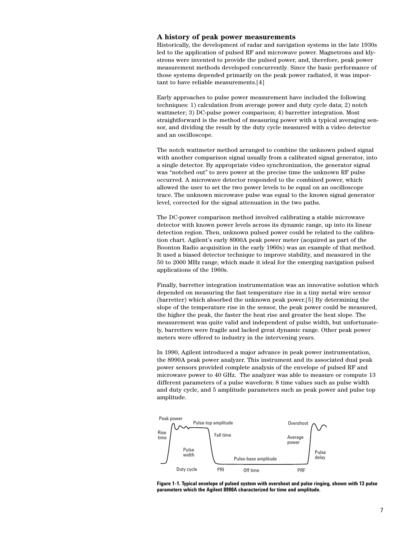### **A history of peak power measurements**

Historically, the development of radar and navigation systems in the late 1930s led to the application of pulsed RF and microwave power. Magnetrons and klystrons were invented to provide the pulsed power, and, therefore, peak power measurement methods developed concurrently. Since the basic performance of those systems depended primarily on the peak power radiated, it was important to have reliable measurements.[4]

Early approaches to pulse power measurement have included the following techniques: 1) calculation from average power and duty cycle data; 2) notch wattmeter; 3) DC-pulse power comparison; 4) barretter integration. Most straightforward is the method of measuring power with a typical averaging sensor, and dividing the result by the duty cycle measured with a video detector and an oscilloscope.

The notch wattmeter method arranged to combine the unknown pulsed signal with another comparison signal usually from a calibrated signal generator, into a single detector. By appropriate video synchronization, the generator signal was "notched out" to zero power at the precise time the unknown RF pulse occurred. A microwave detector responded to the combined power, which allowed the user to set the two power levels to be equal on an oscilloscope trace. The unknown microwave pulse was equal to the known signal generator level, corrected for the signal attenuation in the two paths.

The DC-power comparison method involved calibrating a stable microwave detector with known power levels across its dynamic range, up into its linear detection region. Then, unknown pulsed power could be related to the calibration chart. Agilent's early 8900A peak power meter (acquired as part of the Boonton Radio acquisition in the early 1960s) was an example of that method. It used a biased detector technique to improve stability, and measured in the 50 to 2000 MHz range, which made it ideal for the emerging navigation pulsed applications of the 1960s.

Finally, barretter integration instrumentation was an innovative solution which depended on measuring the fast temperature rise in a tiny metal wire sensor (barretter) which absorbed the unknown peak power.[5] By determining the slope of the temperature rise in the sensor, the peak power could be measured, the higher the peak, the faster the heat rise and greater the heat slope. The measurement was quite valid and independent of pulse width, but unfortunately, barretters were fragile and lacked great dynamic range. Other peak power meters were offered to industry in the intervening years.

In 1990, Agilent introduced a major advance in peak power instrumentation, the 8990A peak power analyzer. This instrument and its associated dual peak power sensors provided complete analysis of the envelope of pulsed RF and microwave power to 40 GHz. The analyzer was able to measure or compute 13 different parameters of a pulse waveform: 8 time values such as pulse width and duty cycle, and 5 amplitude parameters such as peak power and pulse top amplitude.



**Figure 1-1. Typical envelope of pulsed system with overshoot and pulse ringing, shown with 13 pulse parameters which the Agilent 8990A characterized for time and amplitude.**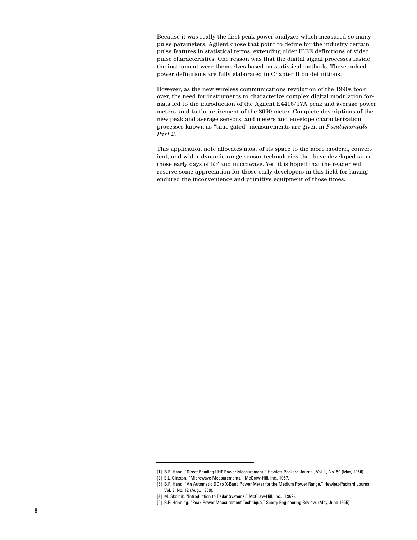Because it was really the first peak power analyzer which measured so many pulse parameters, Agilent chose that point to define for the industry certain pulse features in statistical terms, extending older IEEE definitions of video pulse characteristics. One reason was that the digital signal processes inside the instrument were themselves based on statistical methods. These pulsed power definitions are fully elaborated in Chapter II on definitions.

However, as the new wireless communications revolution of the 1990s took over, the need for instruments to characterize complex digital modulation formats led to the introduction of the Agilent E4416/17A peak and average power meters, and to the retirement of the 8990 meter. Complete descriptions of the new peak and average sensors, and meters and envelope characterization processes known as "time-gated" measurements are given in *Fundamentals Part 2*.

This application note allocates most of its space to the more modern, convenient, and wider dynamic range sensor technologies that have developed since those early days of RF and microwave. Yet, it is hoped that the reader will reserve some appreciation for those early developers in this field for having endured the inconvenience and primitive equipment of those times.

<sup>[1]</sup> B.P. Hand, "Direct Reading UHF Power Measurement," Hewlett-Packard Journal, Vol. 1, No. 59 (May, 1950).

<sup>[2]</sup> E.L. Ginzton, "Microwave Measurements," McGraw-Hill, Inc., 1957.

<sup>[3]</sup> B.P. Hand, "An Automatic DC to X-Band Power Meter for the Medium Power Range," Hewlett-Packard Journal, Vol. 9, No. 12 (Aug., 1958).

<sup>[4]</sup> M. Skolnik, "Introduction to Radar Systems," McGraw-Hill, Inc., (1962).

<sup>[5]</sup> R.E. Henning, "Peak Power Measurement Technique," Sperry Engineering Review, (May-June 1955).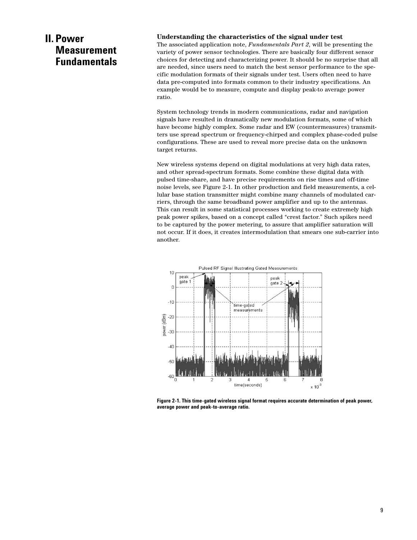# **II. Power Measurement Fundamentals**

#### **Understanding the characteristics of the signal under test**

The associated application note, *Fundamentals Part 2*, will be presenting the variety of power sensor technologies. There are basically four different sensor choices for detecting and characterizing power. It should be no surprise that all are needed, since users need to match the best sensor performance to the specific modulation formats of their signals under test. Users often need to have data pre-computed into formats common to their industry specifications. An example would be to measure, compute and display peak-to average power ratio.

System technology trends in modern communications, radar and navigation signals have resulted in dramatically new modulation formats, some of which have become highly complex. Some radar and EW (countermeasures) transmitters use spread spectrum or frequency-chirped and complex phase-coded pulse configurations. These are used to reveal more precise data on the unknown target returns.

New wireless systems depend on digital modulations at very high data rates, and other spread-spectrum formats. Some combine these digital data with pulsed time-share, and have precise requirements on rise times and off-time noise levels, see Figure 2-1. In other production and field measurements, a cellular base station transmitter might combine many channels of modulated carriers, through the same broadband power amplifier and up to the antennas. This can result in some statistical processes working to create extremely high peak power spikes, based on a concept called "crest factor." Such spikes need to be captured by the power metering, to assure that amplifier saturation will not occur. If it does, it creates intermodulation that smears one sub-carrier into another.



**Figure 2-1. This time-gated wireless signal format requires accurate determination of peak power, average power and peak-to-average ratio.**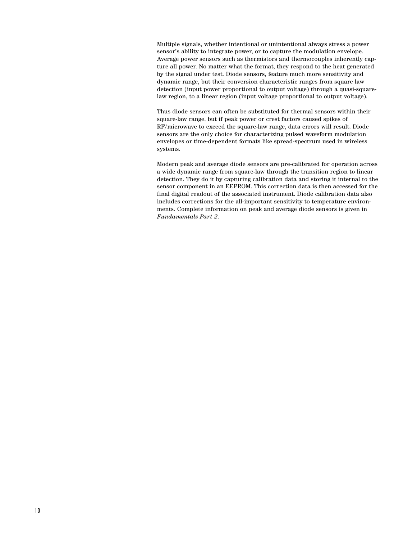Multiple signals, whether intentional or unintentional always stress a power sensor's ability to integrate power, or to capture the modulation envelope. Average power sensors such as thermistors and thermocouples inherently capture all power. No matter what the format, they respond to the heat generated by the signal under test. Diode sensors, feature much more sensitivity and dynamic range, but their conversion characteristic ranges from square law detection (input power proportional to output voltage) through a quasi-squarelaw region, to a linear region (input voltage proportional to output voltage).

Thus diode sensors can often be substituted for thermal sensors within their square-law range, but if peak power or crest factors caused spikes of RF/microwave to exceed the square-law range, data errors will result. Diode sensors are the only choice for characterizing pulsed waveform modulation envelopes or time-dependent formats like spread-spectrum used in wireless systems.

Modern peak and average diode sensors are pre-calibrated for operation across a wide dynamic range from square-law through the transition region to linear detection. They do it by capturing calibration data and storing it internal to the sensor component in an EEPROM. This correction data is then accessed for the final digital readout of the associated instrument. Diode calibration data also includes corrections for the all-important sensitivity to temperature environments. Complete information on peak and average diode sensors is given in *Fundamentals Part 2*.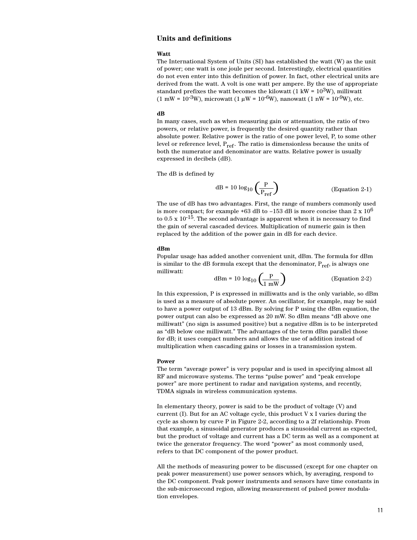## **Units and definitions**

#### **Watt**

The International System of Units (SI) has established the watt (W) as the unit of power; one watt is one joule per second. Interestingly, electrical quantities do not even enter into this definition of power. In fact, other electrical units are derived from the watt. A volt is one watt per ampere. By the use of appropriate standard prefixes the watt becomes the kilowatt (1 kW =  $10<sup>3</sup>$ W), milliwatt (1 mW =  $10^{-3}$ W), microwatt (1 µW =  $10^{-6}$ W), nanowatt (1 nW =  $10^{-9}$ W), etc.

#### **dB**

In many cases, such as when measuring gain or attenuation, the ratio of two powers, or relative power, is frequently the desired quantity rather than absolute power. Relative power is the ratio of one power level, P, to some other level or reference level,  $P_{ref}$ . The ratio is dimensionless because the units of both the numerator and denominator are watts. Relative power is usually expressed in decibels (dB).

The dB is defined by

$$
dB = 10 \log_{10} \left( \frac{P}{P_{ref}} \right) \tag{Equation 2-1}
$$

The use of dB has two advantages. First, the range of numbers commonly used is more compact; for example +63 dB to -153 dB is more concise than  $2 \times 10^6$ to  $0.5 \times 10^{-15}$ . The second advantage is apparent when it is necessary to find the gain of several cascaded devices. Multiplication of numeric gain is then replaced by the addition of the power gain in dB for each device.

#### **dBm**

Popular usage has added another convenient unit, dBm. The formula for dBm is similar to the dB formula except that the denominator,  $P_{ref}$ , is always one milliwatt:

$$
dBm = 10 \log_{10} \left( \frac{P}{1 \text{ mW}} \right) \tag{Equation 2-2}
$$

In this expression, P is expressed in milliwatts and is the only variable, so dBm is used as a measure of absolute power. An oscillator, for example, may be said to have a power output of 13 dBm. By solving for P using the dBm equation, the power output can also be expressed as 20 mW. So dBm means "dB above one milliwatt" (no sign is assumed positive) but a negative dBm is to be interpreted as "dB below one milliwatt." The advantages of the term dBm parallel those for dB; it uses compact numbers and allows the use of addition instead of multiplication when cascading gains or losses in a transmission system.

#### **Power**

The term "average power" is very popular and is used in specifying almost all RF and microwave systems. The terms "pulse power" and "peak envelope power" are more pertinent to radar and navigation systems, and recently, TDMA signals in wireless communication systems.

In elementary theory, power is said to be the product of voltage (V) and current  $(I)$ . But for an AC voltage cycle, this product V x I varies during the cycle as shown by curve P in Figure 2-2, according to a 2f relationship. From that example, a sinusoidal generator produces a sinusoidal current as expected, but the product of voltage and current has a DC term as well as a component at twice the generator frequency. The word "power" as most commonly used, refers to that DC component of the power product.

All the methods of measuring power to be discussed (except for one chapter on peak power measurement) use power sensors which, by averaging, respond to the DC component. Peak power instruments and sensors have time constants in the sub-microsecond region, allowing measurement of pulsed power modulation envelopes.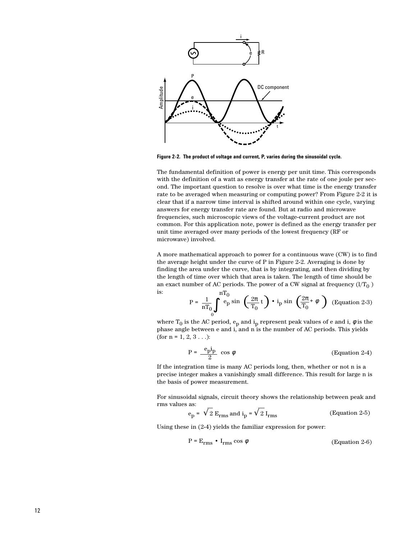

**Figure 2-2. The product of voltage and current, P, varies during the sinusoidal cycle.**

The fundamental definition of power is energy per unit time. This corresponds with the definition of a watt as energy transfer at the rate of one joule per second. The important question to resolve is over what time is the energy transfer rate to be averaged when measuring or computing power? From Figure 2-2 it is clear that if a narrow time interval is shifted around within one cycle, varying answers for energy transfer rate are found. But at radio and microwave frequencies, such microscopic views of the voltage-current product are not common. For this application note, power is defined as the energy transfer per unit time averaged over many periods of the lowest frequency (RF or microwave) involved.

A more mathematical approach to power for a continuous wave (CW) is to find the average height under the curve of P in Figure 2-2. Averaging is done by finding the area under the curve, that is by integrating, and then dividing by the length of time over which that area is taken. The length of time should be an exact number of AC periods. The power of a CW signal at frequency  $(1/T_0)$ is:  $nT<sub>0</sub>$ 

$$
P = \frac{1}{nT_0} \int_{0}^{nT_0} \exp\left(\frac{2\pi}{T_0} t\right) \cdot i_p \sin\left(\frac{2\pi}{T_0} + \phi\right)
$$
 (Equation 2-3)

where  $\rm T_{0}$  is the AC period,  $\rm e_{p}$  and  $\rm i_{p}$  represent peak values of e and i,  $\phi$  is the phase angle between e and i, and n is the number of AC periods. This yields (for  $n = 1, 2, 3...$ ):

$$
P = \frac{e_p i_p}{2} \cos \phi
$$
 (Equation 2-4)

If the integration time is many AC periods long, then, whether or not n is a precise integer makes a vanishingly small difference. This result for large n is the basis of power measurement.

For sinusoidal signals, circuit theory shows the relationship between peak and rms values as:

$$
e_p = \sqrt{2} E_{rms}
$$
 and  $i_p = \sqrt{2} I_{rms}$  (Equation 2-5)

Using these in (2-4) yields the familiar expression for power:

$$
P = E_{rms} \cdot I_{rms} \cos \phi \tag{Equation 2-6}
$$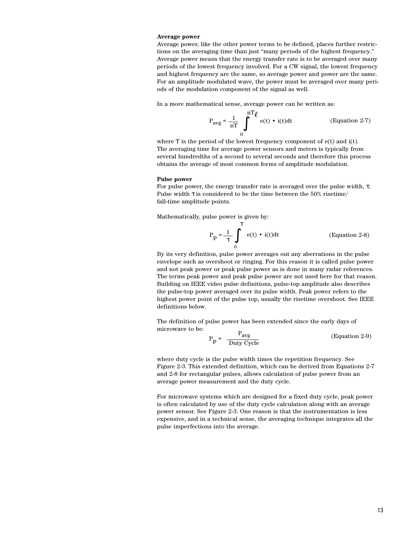#### **Average power**

Average power, like the other power terms to be defined, places further restrictions on the averaging time than just "many periods of the highest frequency." Average power means that the energy transfer rate is to be averaged over many periods of the lowest frequency involved. For a CW signal, the lowest frequency and highest frequency are the same, so average power and power are the same. For an amplitude modulated wave, the power must be averaged over many periods of the modulation component of the signal as well.

In a more mathematical sense, average power can be written as:

 $m$ 

$$
P_{avg} = \frac{1}{nT} \int_{0}^{nT} e(t) \cdot i(t) dt
$$
 (Equation 2-7)

where  $T$  is the period of the lowest frequency component of  $e(t)$  and  $i(t)$ . The averaging time for average power sensors and meters is typically from several hundredths of a second to several seconds and therefore this process obtains the average of most common forms of amplitude modulation.

#### **Pulse power**

For pulse power, the energy transfer rate is averaged over the pulse width, τ. Pulse width  $\tau$  is considered to be the time between the 50% risetime/ fall-time amplitude points.

Mathematically, pulse power is given by:

$$
P_p = \frac{1}{\tau} \int_0^{\tau} e(t) \cdot i(t) dt
$$
 (Equation 2-8)

By its very definition, pulse power averages out any aberrations in the pulse envelope such as overshoot or ringing. For this reason it is called pulse power and not peak power or peak pulse power as is done in many radar references. The terms peak power and peak pulse power are not used here for that reason. Building on IEEE video pulse definitions, pulse-top amplitude also describes the pulse-top power averaged over its pulse width. Peak power refers to the highest power point of the pulse top, usually the risetime overshoot. See IEEE definitions below.

The definition of pulse power has been extended since the early days of microwave to be:

$$
P_p = \frac{P_{avg}}{Duty\ Cycle} \tag{Equation 2-9}
$$

where duty cycle is the pulse width times the repetition frequency. See Figure 2-3. This extended definition, which can be derived from Equations 2-7 and 2-8 for rectangular pulses, allows calculation of pulse power from an average power measurement and the duty cycle.

For microwave systems which are designed for a fixed duty cycle, peak power is often calculated by use of the duty cycle calculation along with an average power sensor. See Figure 2-3. One reason is that the instrumentation is less expensive, and in a technical sense, the averaging technique integrates all the pulse imperfections into the average.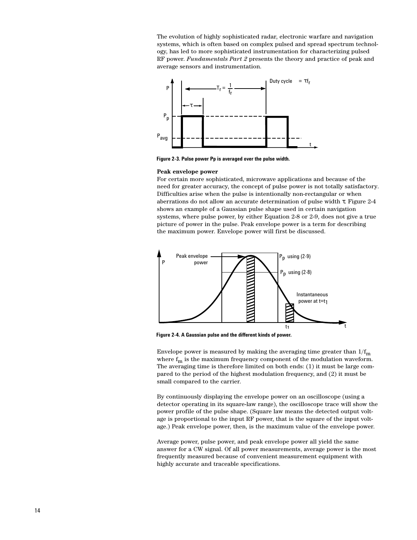The evolution of highly sophisticated radar, electronic warfare and navigation systems, which is often based on complex pulsed and spread spectrum technology, has led to more sophisticated instrumentation for characterizing pulsed RF power. *Fundamentals Part 2* presents the theory and practice of peak and average sensors and instrumentation.



**Figure 2-3. Pulse power Pp is averaged over the pulse width.**

#### **Peak envelope power**

For certain more sophisticated, microwave applications and because of the need for greater accuracy, the concept of pulse power is not totally satisfactory. Difficulties arise when the pulse is intentionally non-rectangular or when aberrations do not allow an accurate determination of pulse width τ. Figure 2-4 shows an example of a Gaussian pulse shape used in certain navigation systems, where pulse power, by either Equation 2-8 or 2-9, does not give a true picture of power in the pulse. Peak envelope power is a term for describing the maximum power. Envelope power will first be discussed.



**Figure 2-4. A Gaussian pulse and the different kinds of power.**

Envelope power is measured by making the averaging time greater than  $1/f<sub>m</sub>$ where  $f_m$  is the maximum frequency component of the modulation waveform. The averaging time is therefore limited on both ends: (1) it must be large compared to the period of the highest modulation frequency, and (2) it must be small compared to the carrier.

By continuously displaying the envelope power on an oscilloscope (using a detector operating in its square-law range), the oscilloscope trace will show the power profile of the pulse shape. (Square law means the detected output voltage is proportional to the input RF power, that is the square of the input voltage.) Peak envelope power, then, is the maximum value of the envelope power.

Average power, pulse power, and peak envelope power all yield the same answer for a CW signal. Of all power measurements, average power is the most frequently measured because of convenient measurement equipment with highly accurate and traceable specifications.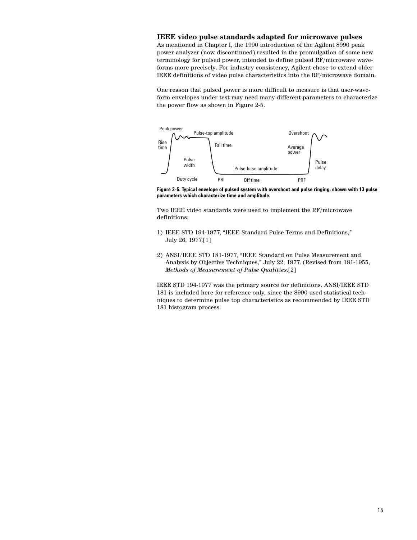### **IEEE video pulse standards adapted for microwave pulses**

As mentioned in Chapter I, the 1990 introduction of the Agilent 8990 peak power analyzer (now discontinued) resulted in the promulgation of some new terminology for pulsed power, intended to define pulsed RF/microwave waveforms more precisely. For industry consistency, Agilent chose to extend older IEEE definitions of video pulse characteristics into the RF/microwave domain.

One reason that pulsed power is more difficult to measure is that user-waveform envelopes under test may need many different parameters to characterize the power flow as shown in Figure 2-5.



**Figure 2-5. Typical envelope of pulsed system with overshoot and pulse ringing, shown with 13 pulse parameters which characterize time and amplitude.**

Two IEEE video standards were used to implement the RF/microwave definitions:

- 1) IEEE STD 194-1977, "IEEE Standard Pulse Terms and Definitions," July 26, 1977.[1]
- 2) ANSI/IEEE STD 181-1977, "IEEE Standard on Pulse Measurement and Analysis by Objective Techniques," July 22, 1977. (Revised from 181-1955, *Methods of Measurement of Pulse Qualities*.[2]

IEEE STD 194-1977 was the primary source for definitions. ANSI/IEEE STD 181 is included here for reference only, since the 8990 used statistical techniques to determine pulse top characteristics as recommended by IEEE STD 181 histogram process.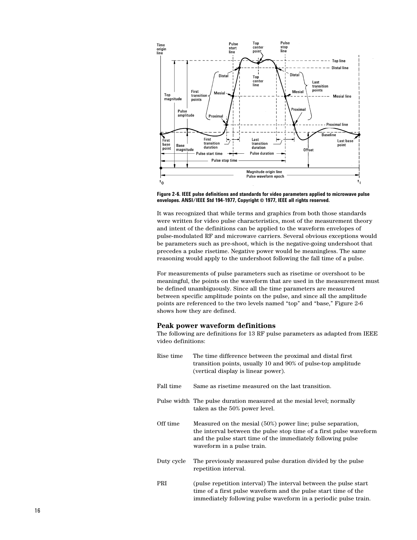

**Figure 2-6. IEEE pulse definitions and standards for video parameters applied to microwave pulse envelopes. ANSI/IEEE Std 194-1977, Copyright © 1977, IEEE all rights reserved.**

It was recognized that while terms and graphics from both those standards were written for video pulse characteristics, most of the measurement theory and intent of the definitions can be applied to the waveform envelopes of pulse-modulated RF and microwave carriers. Several obvious exceptions would be parameters such as pre-shoot, which is the negative-going undershoot that precedes a pulse risetime. Negative power would be meaningless. The same reasoning would apply to the undershoot following the fall time of a pulse.

For measurements of pulse parameters such as risetime or overshoot to be meaningful, the points on the waveform that are used in the measurement must be defined unambiguously. Since all the time parameters are measured between specific amplitude points on the pulse, and since all the amplitude points are referenced to the two levels named "top" and "base," Figure 2-6 shows how they are defined.

#### **Peak power waveform definitions**

The following are definitions for 13 RF pulse parameters as adapted from IEEE video definitions:

| Rise time  | The time difference between the proximal and distal first<br>transition points, usually 10 and 90% of pulse-top amplitude<br>(vertical display is linear power).                                                              |
|------------|-------------------------------------------------------------------------------------------------------------------------------------------------------------------------------------------------------------------------------|
| Fall time  | Same as risetime measured on the last transition.                                                                                                                                                                             |
|            | Pulse width The pulse duration measured at the mesial level; normally<br>taken as the 50% power level.                                                                                                                        |
| Off time   | Measured on the mesial (50%) power line; pulse separation,<br>the interval between the pulse stop time of a first pulse waveform<br>and the pulse start time of the immediately following pulse<br>waveform in a pulse train. |
| Duty cycle | The previously measured pulse duration divided by the pulse<br>repetition interval.                                                                                                                                           |
| PRI        | (pulse repetition interval) The interval between the pulse start<br>time of a first pulse waveform and the pulse start time of the<br>immediately following pulse waveform in a periodic pulse train.                         |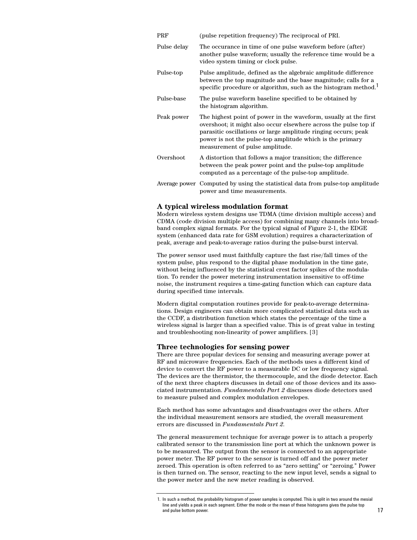| <b>PRF</b>  | (pulse repetition frequency) The reciprocal of PRI.                                                                                                                                                                                                                                                    |
|-------------|--------------------------------------------------------------------------------------------------------------------------------------------------------------------------------------------------------------------------------------------------------------------------------------------------------|
| Pulse delay | The occurance in time of one pulse waveform before (after)<br>another pulse waveform; usually the reference time would be a<br>video system timing or clock pulse.                                                                                                                                     |
| Pulse-top   | Pulse amplitude, defined as the algebraic amplitude difference<br>between the top magnitude and the base magnitude; calls for a<br>specific procedure or algorithm, such as the histogram method. <sup>1</sup>                                                                                         |
| Pulse-base  | The pulse waveform baseline specified to be obtained by<br>the histogram algorithm.                                                                                                                                                                                                                    |
| Peak power  | The highest point of power in the waveform, usually at the first<br>overshoot; it might also occur elsewhere across the pulse top if<br>parasitic oscillations or large amplitude ringing occurs; peak<br>power is not the pulse-top amplitude which is the primary<br>measurement of pulse amplitude. |
| Overshoot   | A distortion that follows a major transition; the difference<br>between the peak power point and the pulse-top amplitude<br>computed as a percentage of the pulse-top amplitude.                                                                                                                       |
|             | Average power Computed by using the statistical data from pulse-top amplitude<br>power and time measurements.                                                                                                                                                                                          |

#### **A typical wireless modulation format**

Modern wireless system designs use TDMA (time division multiple access) and CDMA (code division multiple access) for combining many channels into broadband complex signal formats. For the typical signal of Figure 2-1, the EDGE system (enhanced data rate for GSM evolution) requires a characterization of peak, average and peak-to-average ratios during the pulse-burst interval.

The power sensor used must faithfully capture the fast rise/fall times of the system pulse, plus respond to the digital phase modulation in the time gate, without being influenced by the statistical crest factor spikes of the modulation. To render the power metering instrumentation insensitive to off-time noise, the instrument requires a time-gating function which can capture data during specified time intervals.

Modern digital computation routines provide for peak-to-average determinations. Design engineers can obtain more complicated statistical data such as the CCDF, a distribution function which states the percentage of the time a wireless signal is larger than a specified value. This is of great value in testing and troubleshooting non-linearity of power amplifiers. [3]

#### **Three technologies for sensing power**

There are three popular devices for sensing and measuring average power at RF and microwave frequencies. Each of the methods uses a different kind of device to convert the RF power to a measurable DC or low frequency signal. The devices are the thermistor, the thermocouple, and the diode detector. Each of the next three chapters discusses in detail one of those devices and its associated instrumentation. *Fundamentals Part 2* discusses diode detectors used to measure pulsed and complex modulation envelopes.

Each method has some advantages and disadvantages over the others. After the individual measurement sensors are studied, the overall measurement errors are discussed in *Fundamentals Part 2*.

The general measurement technique for average power is to attach a properly calibrated sensor to the transmission line port at which the unknown power is to be measured. The output from the sensor is connected to an appropriate power meter. The RF power to the sensor is turned off and the power meter zeroed. This operation is often referred to as "zero setting" or "zeroing." Power is then turned on. The sensor, reacting to the new input level, sends a signal to the power meter and the new meter reading is observed.

<sup>1.</sup> In such a method, the probability histogram of power samples is computed. This is split in two around the mesial line and yields a peak in each segment. Either the mode or the mean of these histograms gives the pulse top and pulse bottom power. 17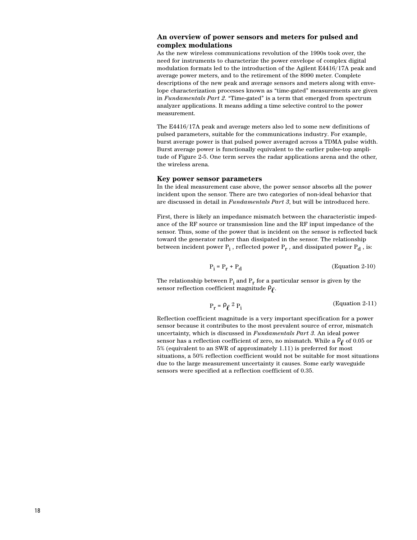### **An overview of power sensors and meters for pulsed and complex modulations**

As the new wireless communications revolution of the 1990s took over, the need for instruments to characterize the power envelope of complex digital modulation formats led to the introduction of the Agilent E4416/17A peak and average power meters, and to the retirement of the 8990 meter. Complete descriptions of the new peak and average sensors and meters along with envelope characterization processes known as "time-gated" measurements are given in *Fundamentals Part 2*. "Time-gated" is a term that emerged from spectrum analyzer applications. It means adding a time selective control to the power measurement.

The E4416/17A peak and average meters also led to some new definitions of pulsed parameters, suitable for the communications industry. For example, burst average power is that pulsed power averaged across a TDMA pulse width. Burst average power is functionally equivalent to the earlier pulse-top amplitude of Figure 2-5. One term serves the radar applications arena and the other, the wireless arena.

#### **Key power sensor parameters**

In the ideal measurement case above, the power sensor absorbs all the power incident upon the sensor. There are two categories of non-ideal behavior that are discussed in detail in *Fundamentals Part 3*, but will be introduced here.

First, there is likely an impedance mismatch between the characteristic impedance of the RF source or transmission line and the RF input impedance of the sensor. Thus, some of the power that is incident on the sensor is reflected back toward the generator rather than dissipated in the sensor. The relationship between incident power  $\mathrm{P_{i}}$  , reflected power  $\mathrm{P_{r}}$  , and dissipated power  $\mathrm{P_{d}}$  , is:

$$
P_i = P_r + P_d \tag{Equation 2-10}
$$

The relationship between  $P_i$  and  $P_r$  for a particular sensor is given by the sensor reflection coefficient magnitude  $\rho_{\ell}$ .

$$
P_r = \rho_\ell^2 P_i \tag{Equation 2-11}
$$

Reflection coefficient magnitude is a very important specification for a power sensor because it contributes to the most prevalent source of error, mismatch uncertainty, which is discussed in *Fundamentals Part 3*. An ideal power sensor has a reflection coefficient of zero, no mismatch. While a  $\rho_{\ell}$  of 0.05 or 5% (equivalent to an SWR of approximately 1.11) is preferred for most situations, a 50% reflection coefficient would not be suitable for most situations due to the large measurement uncertainty it causes. Some early waveguide sensors were specified at a reflection coefficient of 0.35.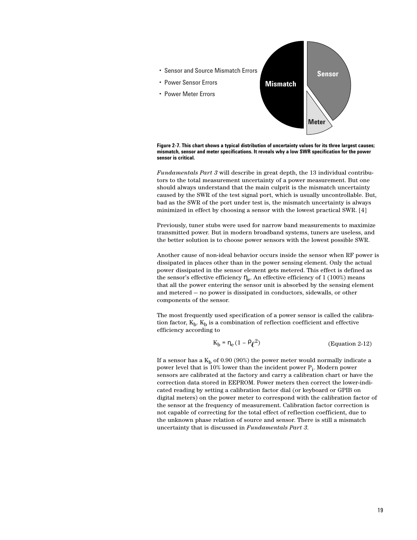

**Figure 2-7. This chart shows a typical distribution of uncertainty values for its three largest causes; mismatch, sensor and meter specifications. It reveals why a low SWR specification for the power sensor is critical.**

*Fundamentals Part 3* will describe in great depth, the 13 individual contributors to the total measurement uncertainty of a power measurement. But one should always understand that the main culprit is the mismatch uncertainty caused by the SWR of the test signal port, which is usually uncontrollable. But, bad as the SWR of the port under test is, the mismatch uncertainty is always minimized in effect by choosing a sensor with the lowest practical SWR. [4]

Previously, tuner stubs were used for narrow band measurements to maximize transmitted power. But in modern broadband systems, tuners are useless, and the better solution is to choose power sensors with the lowest possible SWR.

Another cause of non-ideal behavior occurs inside the sensor when RF power is dissipated in places other than in the power sensing element. Only the actual power dissipated in the sensor element gets metered. This effect is defined as the sensor's effective efficiency  $\eta_e$ . An effective efficiency of 1 (100%) means that all the power entering the sensor unit is absorbed by the sensing element and metered — no power is dissipated in conductors, sidewalls, or other components of the sensor.

The most frequently used specification of a power sensor is called the calibration factor,  $K_b$ .  $K_b$  is a combination of reflection coefficient and effective efficiency according to

$$
K_b = \eta_e (1 - \rho \ell^2)
$$
 (Equation 2-12)

If a sensor has a  $K_b$  of 0.90 (90%) the power meter would normally indicate a power level that is 10% lower than the incident power  $\mathrm{P_{i}.}$  Modern power sensors are calibrated at the factory and carry a calibration chart or have the correction data stored in EEPROM. Power meters then correct the lower-indicated reading by setting a calibration factor dial (or keyboard or GPIB on digital meters) on the power meter to correspond with the calibration factor of the sensor at the frequency of measurement. Calibration factor correction is not capable of correcting for the total effect of reflection coefficient, due to the unknown phase relation of source and sensor. There is still a mismatch uncertainty that is discussed in *Fundamentals Part 3*.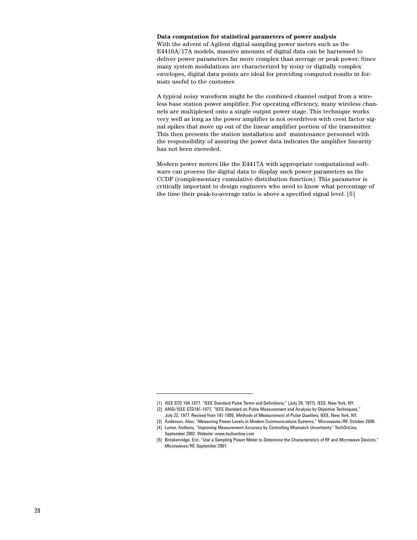**Data computation for statistical parameters of power analysis** With the advent of Agilent digital sampling power meters such as the E4416A/17A models, massive amounts of digital data can be harnessed to deliver power parameters far more complex than average or peak power. Since many system modulations are characterized by noisy or digitally complex envelopes, digital data points are ideal for providing computed results in formats useful to the customer.

A typical noisy waveform might be the combined channel output from a wireless base station power amplifier. For operating efficiency, many wireless channels are multiplexed onto a single output power stage. This technique works very well as long as the power amplifier is not overdriven with crest factor signal spikes that move up out of the linear amplifier portion of the transmitter. This then presents the station installation and maintenance personnel with the responsibility of assuring the power data indicates the amplifier linearity has not been exceeded.

Modern power meters like the E4417A with appropriate computational software can process the digital data to display such power parameters as the CCDF (complementary cumulative distribution function). This parameter is critically important to design engineers who need to know what percentage of the time their peak-to-average ratio is above a specified signal level. [5]

<sup>[1]</sup> IEEE STD 194-1977, "IEEE Standard Pulse Terms and Definitions," (July 26, 1977), IEEE, New York, NY.

<sup>[2]</sup> ANSI/IEEE STD181-1977, "IEEE Standard on Pulse Measurement and Analysis by Objective Techniques," July 22, 1977. Revised from 181-1955, *Methods of Measurement of Pulse Qualities*, IEEE, New York, NY.

<sup>[3]</sup> Anderson, Alan, "Measuring Power Levels in Modern Communications Systems," Microwaves/RF, October 2000.

<sup>[4]</sup> Lymer, Anthony, "Improving Measurement Accuracy by Controlling Mismatch Uncertainty" TechOnLine, September 2002. Website: www.techonline.com

<sup>[5]</sup> Breakenridge, Eric, "Use a Sampling Power Meter to Determine the Characteristics of RF and Microwave Devices," Microwaves/RF, September 2001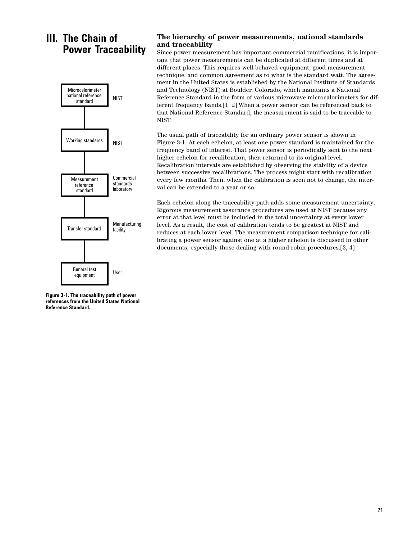# **III. The Chain of Power Traceability**



### **The hierarchy of power measurements, national standards and traceability**

Since power measurement has important commercial ramifications, it is important that power measurements can be duplicated at different times and at different places. This requires well-behaved equipment, good measurement technique, and common agreement as to what is the standard watt. The agreement in the United States is established by the National Institute of Standards and Technology (NIST) at Boulder, Colorado, which maintains a National Reference Standard in the form of various microwave microcalorimeters for different frequency bands.[1, 2] When a power sensor can be referenced back to that National Reference Standard, the measurement is said to be traceable to NIST.

The usual path of traceability for an ordinary power sensor is shown in Figure 3-1. At each echelon, at least one power standard is maintained for the frequency band of interest. That power sensor is periodically sent to the next higher echelon for recalibration, then returned to its original level. Recalibration intervals are established by observing the stability of a device between successive recalibrations. The process might start with recalibration every few months. Then, when the calibration is seen not to change, the interval can be extended to a year or so.

Each echelon along the traceability path adds some measurement uncertainty. Rigorous measurement assurance procedures are used at NIST because any error at that level must be included in the total uncertainty at every lower level. As a result, the cost of calibration tends to be greatest at NIST and reduces at each lower level. The measurement comparison technique for calibrating a power sensor against one at a higher echelon is discussed in other documents, especially those dealing with round robin procedures.[3, 4]

**Figure 3-1. The traceability path of power references from the United States National Reference Standard.**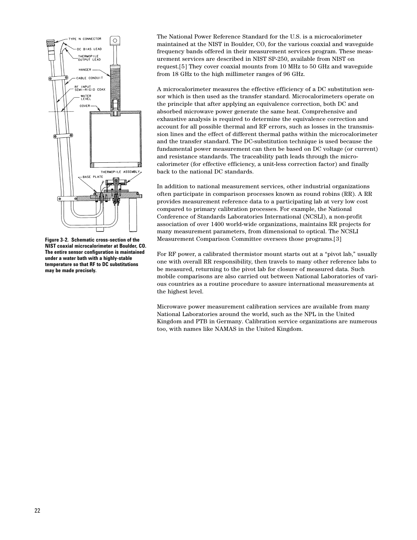

**Figure 3-2. Schematic cross-section of the NIST coaxial microcalorimeter at Boulder, CO. The entire sensor configuration is maintained under a water bath with a highly-stable temperature so that RF to DC substitutions may be made precisely.** 

The National Power Reference Standard for the U.S. is a microcalorimeter maintained at the NIST in Boulder, CO, for the various coaxial and waveguide frequency bands offered in their measurement services program. These measurement services are described in NIST SP-250, available from NIST on request.[5] They cover coaxial mounts from 10 MHz to 50 GHz and waveguide from 18 GHz to the high millimeter ranges of 96 GHz.

A microcalorimeter measures the effective efficiency of a DC substitution sensor which is then used as the transfer standard. Microcalorimeters operate on the principle that after applying an equivalence correction, both DC and absorbed microwave power generate the same heat. Comprehensive and exhaustive analysis is required to determine the equivalence correction and account for all possible thermal and RF errors, such as losses in the transmission lines and the effect of different thermal paths within the microcalorimeter and the transfer standard. The DC-substitution technique is used because the fundamental power measurement can then be based on DC voltage (or current) and resistance standards. The traceability path leads through the microcalorimeter (for effective efficiency, a unit-less correction factor) and finally back to the national DC standards.

In addition to national measurement services, other industrial organizations often participate in comparison processes known as round robins (RR). A RR provides measurement reference data to a participating lab at very low cost compared to primary calibration processes. For example, the National Conference of Standards Laboratories International (NCSLI), a non-profit association of over 1400 world-wide organizations, maintains RR projects for many measurement parameters, from dimensional to optical. The NCSLI Measurement Comparison Committee oversees those programs.[3]

For RF power, a calibrated thermistor mount starts out at a "pivot lab," usually one with overall RR responsibility, then travels to many other reference labs to be measured, returning to the pivot lab for closure of measured data. Such mobile comparisons are also carried out between National Laboratories of various countries as a routine procedure to assure international measurements at the highest level.

Microwave power measurement calibration services are available from many National Laboratories around the world, such as the NPL in the United Kingdom and PTB in Germany. Calibration service organizations are numerous too, with names like NAMAS in the United Kingdom.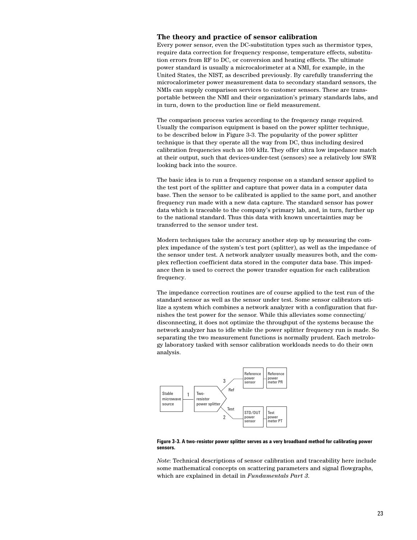### **The theory and practice of sensor calibration**

Every power sensor, even the DC-substitution types such as thermistor types, require data correction for frequency response, temperature effects, substitution errors from RF to DC, or conversion and heating effects. The ultimate power standard is usually a microcalorimeter at a NMI, for example, in the United States, the NIST, as described previously. By carefully transferring the microcalorimeter power measurement data to secondary standard sensors, the NMIs can supply comparison services to customer sensors. These are transportable between the NMI and their organization's primary standards labs, and in turn, down to the production line or field measurement.

The comparison process varies according to the frequency range required. Usually the comparison equipment is based on the power splitter technique, to be described below in Figure 3-3. The popularity of the power splitter technique is that they operate all the way from DC, thus including desired calibration frequencies such as 100 kHz. They offer ultra low impedance match at their output, such that devices-under-test (sensors) see a relatively low SWR looking back into the source.

The basic idea is to run a frequency response on a standard sensor applied to the test port of the splitter and capture that power data in a computer data base. Then the sensor to be calibrated is applied to the same port, and another frequency run made with a new data capture. The standard sensor has power data which is traceable to the company's primary lab, and, in turn, further up to the national standard. Thus this data with known uncertainties may be transferred to the sensor under test.

Modern techniques take the accuracy another step up by measuring the complex impedance of the system's test port (splitter), as well as the impedance of the sensor under test. A network analyzer usually measures both, and the complex reflection coefficient data stored in the computer data base. This impedance then is used to correct the power transfer equation for each calibration frequency.

The impedance correction routines are of course applied to the test run of the standard sensor as well as the sensor under test. Some sensor calibrators utilize a system which combines a network analyzer with a configuration that furnishes the test power for the sensor. While this alleviates some connecting/ disconnecting, it does not optimize the throughput of the systems because the network analyzer has to idle while the power splitter frequency run is made. So separating the two measurement functions is normally prudent. Each metrology laboratory tasked with sensor calibration workloads needs to do their own analysis.



**Figure 3-3. A two-resistor power splitter serves as a very broadband method for calibrating power sensors.**

*Note*: Technical descriptions of sensor calibration and traceability here include some mathematical concepts on scattering parameters and signal flowgraphs, which are explained in detail in *Fundamentals Part 3*.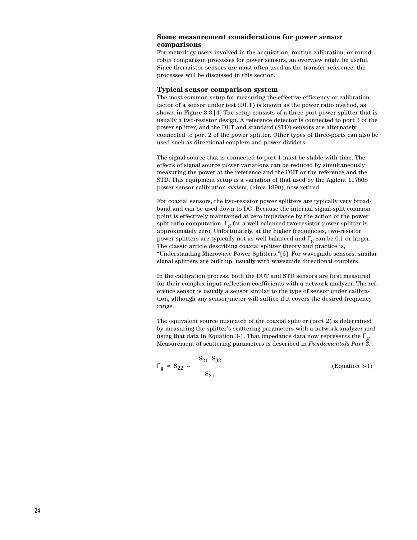### **Some measurement considerations for power sensor comparisons**

For metrology users involved in the acquisition, routine calibration, or roundrobin comparison processes for power sensors, an overview might be useful. Since thermistor sensors are most often used as the transfer reference, the processes will be discussed in this section.

#### **Typical sensor comparison system**

The most common setup for measuring the effective efficiency or calibration factor of a sensor under test (DUT) is known as the power ratio method, as shown in Figure 3-3.[4] The setup consists of a three-port power splitter that is usually a two-resistor design. A reference detector is connected to port 3 of the power splitter, and the DUT and standard (STD) sensors are alternately connected to port 2 of the power splitter. Other types of three-ports can also be used such as directional couplers and power dividers.

The signal source that is connected to port 1 must be stable with time. The effects of signal source power variations can be reduced by simultaneously measuring the power at the reference and the DUT or the reference and the STD. This equipment setup is a variation of that used by the Agilent 11760S power sensor calibration system, (circa 1990), now retired.

For coaxial sensors, the two-resistor power splitters are typically very broadband and can be used down to DC. Because the internal signal-split common point is effectively maintained at zero impedance by the action of the power split ratio computation,  $\Gamma_{\mathfrak{g}}$  for a well balanced two-resistor power splitter is approximately zero. Unfortunately, at the higher frequencies, two-resistor power splitters are typically not as well balanced and  $\Gamma_{\sigma}$  can be 0.1 or larger. The classic article describing coaxial splitter theory and practice is, "Understanding Microwave Power Splitters."[6] For waveguide sensors, similar signal splitters are built up, usually with waveguide directional couplers.

In the calibration process, both the DUT and STD sensors are first measured for their complex input reflection coefficients with a network analyzer. The reference sensor is usually a sensor similar to the type of sensor under calibration, although any sensor/meter will suffice if it covers the desired frequency range.

The equivalent source mismatch of the coaxial splitter (port 2) is determined by measuring the splitter's scattering parameters with a network analyzer and using that data in Equation 3-1. That impedance data now represents the  $\Gamma_{\text{g}}$ . Measurement of scattering parameters is described in *Fundamentals Part 3*.

$$
\Gamma_g = S_{22} - \frac{S_{21} S_{32}}{S_{31}}
$$
 (Equation 3-1)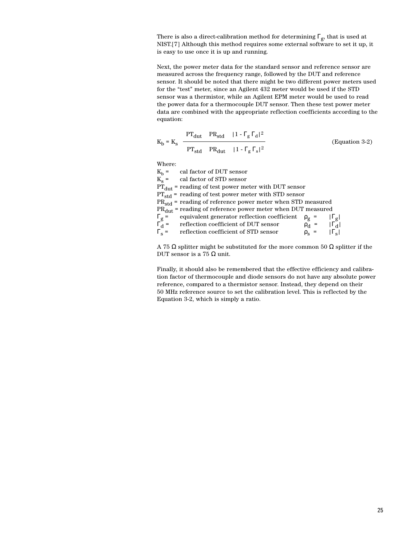There is also a direct-calibration method for determining  $\Gamma_g$ , that is used at NIST.[7] Although this method requires some external software to set it up, it is easy to use once it is up and running.

Next, the power meter data for the standard sensor and reference sensor are measured across the frequency range, followed by the DUT and reference sensor. It should be noted that there might be two different power meters used for the "test" meter, since an Agilent 432 meter would be used if the STD sensor was a thermistor, while an Agilent EPM meter would be used to read the power data for a thermocouple DUT sensor. Then these test power meter data are combined with the appropriate reflection coefficients according to the equation:

$$
K_{b} = K_{s} \frac{PT_{dut} PR_{std} |1 - \Gamma_{g} \Gamma_{d}|^{2}}{PT_{std} PR_{dut} |1 - \Gamma_{g} \Gamma_{s}|^{2}}
$$
(Equation 3-2)

Where:

|                    | $Kb$ = cal factor of DUT sensor                                                                                                                        |            |                       |                    |  |
|--------------------|--------------------------------------------------------------------------------------------------------------------------------------------------------|------------|-----------------------|--------------------|--|
|                    | $K_s =$ cal factor of STD sensor                                                                                                                       |            |                       |                    |  |
|                    | $PT_{\text{dut}}$ = reading of test power meter with DUT sensor                                                                                        |            |                       |                    |  |
|                    | $PT_{std}$ = reading of test power meter with STD sensor                                                                                               |            |                       |                    |  |
|                    | $PR_{std}$ = reading of reference power meter when STD measured                                                                                        |            |                       |                    |  |
|                    | $PRdut$ = reading of reference power meter when DUT measured                                                                                           |            |                       |                    |  |
|                    | $\Gamma_g$ = equivalent generator reflection coeff<br>$\Gamma_d$ = reflection coefficient of DUT sensor<br>equivalent generator reflection coefficient | $\rho_g$ = |                       | $ \Gamma_{\rm g} $ |  |
|                    |                                                                                                                                                        |            | $\rho_d =  \Gamma_d $ |                    |  |
| $\Gamma_{\rm s}$ = | reflection coefficient of STD sensor                                                                                                                   |            | $\rho_s$ =            | $ \Gamma_{\rm g} $ |  |
|                    |                                                                                                                                                        |            |                       |                    |  |

A 75 Ω splitter might be substituted for the more common 50 Ω splitter if the DUT sensor is a 75  $\Omega$  unit.

Finally, it should also be remembered that the effective efficiency and calibration factor of thermocouple and diode sensors do not have any absolute power reference, compared to a thermistor sensor. Instead, they depend on their 50 MHz reference source to set the calibration level. This is reflected by the Equation 3-2, which is simply a ratio.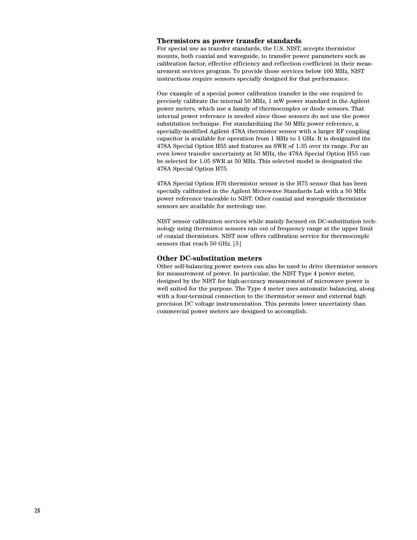#### **Thermistors as power transfer standards**

For special use as transfer standards, the U.S. NIST, accepts thermistor mounts, both coaxial and waveguide, to transfer power parameters such as calibration factor, effective efficiency and reflection coefficient in their measurement services program. To provide those services below 100 MHz, NIST instructions require sensors specially designed for that performance.

One example of a special power calibration transfer is the one required to precisely calibrate the internal 50 MHz, 1 mW power standard in the Agilent power meters, which use a family of thermocouples or diode sensors. That internal power reference is needed since those sensors do not use the power substitution technique. For standardizing the 50 MHz power reference, a specially-modified Agilent 478A thermistor sensor with a larger RF coupling capacitor is available for operation from 1 MHz to 1 GHz. It is designated the 478A Special Option H55 and features an SWR of 1.35 over its range. For an even lower transfer uncertainty at 50 MHz, the 478A Special Option H55 can be selected for 1.05 SWR at 50 MHz. This selected model is designated the 478A Special Option H75.

478A Special Option H76 thermistor sensor is the H75 sensor that has been specially calibrated in the Agilent Microwave Standards Lab with a 50 MHz power reference traceable to NIST. Other coaxial and waveguide thermistor sensors are available for metrology use.

NIST sensor calibration services while mainly focused on DC-substitution technology using thermistor sensors ran out of frequency range at the upper limit of coaxial thermistors. NIST now offers calibration service for thermocouple sensors that reach 50 GHz. [5]

#### **Other DC-substitution meters**

Other self-balancing power meters can also be used to drive thermistor sensors for measurement of power. In particular, the NIST Type 4 power meter, designed by the NIST for high-accuracy measurement of microwave power is well suited for the purpose. The Type 4 meter uses automatic balancing, along with a four-terminal connection to the thermistor sensor and external high precision DC voltage instrumentation. This permits lower uncertainty than commercial power meters are designed to accomplish.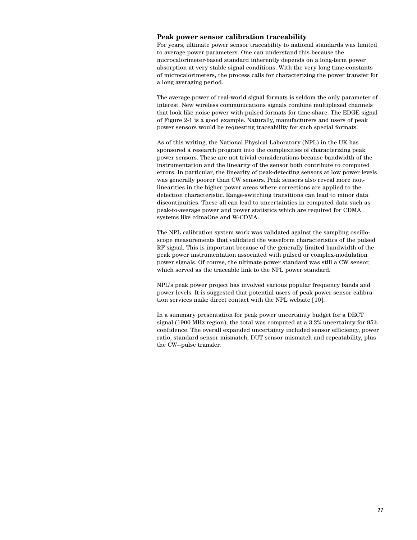#### **Peak power sensor calibration traceability**

For years, ultimate power sensor traceability to national standards was limited to average power parameters. One can understand this because the microcalorimeter-based standard inherently depends on a long-term power absorption at very stable signal conditions. With the very long time-constants of microcalorimeters, the process calls for characterizing the power transfer for a long averaging period.

The average power of real-world signal formats is seldom the only parameter of interest. New wireless communications signals combine multiplexed channels that look like noise power with pulsed formats for time-share. The EDGE signal of Figure 2-1 is a good example. Naturally, manufacturers and users of peak power sensors would be requesting traceability for such special formats.

As of this writing, the National Physical Laboratory (NPL) in the UK has sponsored a research program into the complexities of characterizing peak power sensors. These are not trivial considerations because bandwidth of the instrumentation and the linearity of the sensor both contribute to computed errors. In particular, the linearity of peak-detecting sensors at low power levels was generally poorer than CW sensors. Peak sensors also reveal more nonlinearities in the higher power areas where corrections are applied to the detection characteristic. Range-switching transitions can lead to minor data discontinuities. These all can lead to uncertainties in computed data such as peak-to-average power and power statistics which are required for CDMA systems like cdmaOne and W-CDMA.

The NPL calibration system work was validated against the sampling oscilloscope measurements that validated the waveform characteristics of the pulsed RF signal. This is important because of the generally limited bandwidth of the peak power instrumentation associated with pulsed or complex-modulation power signals. Of course, the ultimate power standard was still a CW sensor, which served as the traceable link to the NPL power standard.

NPL's peak power project has involved various popular frequency bands and power levels. It is suggested that potential users of peak power sensor calibration services make direct contact with the NPL website [10].

In a summary presentation for peak power uncertainty budget for a DECT signal (1900 MHz region), the total was computed at a 3.2% uncertainty for 95% confidence. The overall expanded uncertainty included sensor efficiency, power ratio, standard sensor mismatch, DUT sensor mismatch and repeatability, plus the CW—pulse transfer.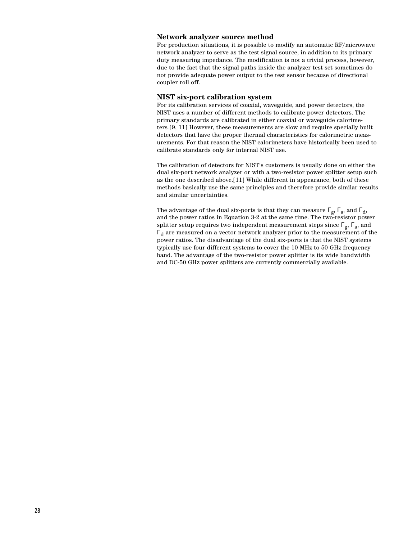#### **Network analyzer source method**

For production situations, it is possible to modify an automatic RF/microwave network analyzer to serve as the test signal source, in addition to its primary duty measuring impedance. The modification is not a trivial process, however, due to the fact that the signal paths inside the analyzer test set sometimes do not provide adequate power output to the test sensor because of directional coupler roll off.

#### **NIST six-port calibration system**

For its calibration services of coaxial, waveguide, and power detectors, the NIST uses a number of different methods to calibrate power detectors. The primary standards are calibrated in either coaxial or waveguide calorimeters.[9, 11] However, these measurements are slow and require specially built detectors that have the proper thermal characteristics for calorimetric measurements. For that reason the NIST calorimeters have historically been used to calibrate standards only for internal NIST use.

The calibration of detectors for NIST's customers is usually done on either the dual six-port network analyzer or with a two-resistor power splitter setup such as the one described above.[11] While different in appearance, both of these methods basically use the same principles and therefore provide similar results and similar uncertainties.

The advantage of the dual six-ports is that they can measure  $\Gamma_g$ ,  $\Gamma_s$ , and  $\Gamma_d$ , and the power ratios in Equation 3-2 at the same time. The two-resistor power splitter setup requires two independent measurement steps since  $\Gamma_{g}$ ,  $\Gamma_{s}$ , and  $\Gamma_d$  are measured on a vector network analyzer prior to the measurement of the power ratios. The disadvantage of the dual six-ports is that the NIST systems typically use four different systems to cover the 10 MHz to 50 GHz frequency band. The advantage of the two-resistor power splitter is its wide bandwidth and DC-50 GHz power splitters are currently commercially available.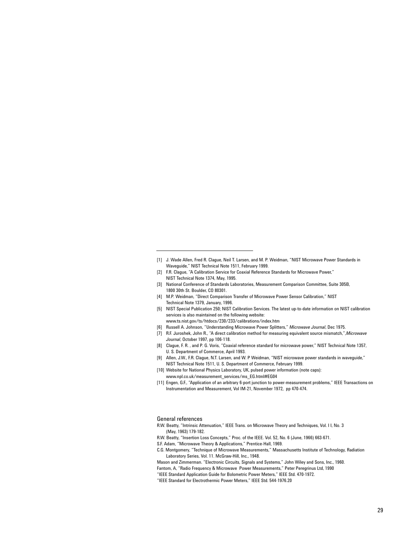- [1] J. Wade Allen, Fred R. Clague, Neil T. Larsen, and M. P. Weidman, "NIST Microwave Power Standards in Waveguide," NIST Technical Note 1511, February 1999.
- [2] F.R. Clague, "A Calibration Service for Coaxial Reference Standards for Microwave Power," NIST Technical Note 1374, May, 1995.
- [3] National Conference of Standards Laboratories, Measurement Comparison Committee, Suite 305B, 1800 30th St. Boulder, CO 80301.
- [4] M.P. Weidman, "Direct Comparison Transfer of Microwave Power Sensor Calibration," NIST Technical Note 1379, January, 1996.
- [5] NIST Special Publication 250; NIST Calibration Services. The latest up-to-date information on NIST calibration services is also maintained on the following website:
- www.ts.nist.gov/ts/htdocs/230/233/calibrations/index.htm
- [6] Russell A. Johnson, "Understanding Microwave Power Splitters," *Microwave Journal*, Dec 1975.
- [7] R.F. Juroshek, John R., "A direct calibration method for measuring equivalent source mismatch,",*Microwave Journal*, October 1997, pp 106-118.
- [8] Clague, F. R. , and P. G. Voris, "Coaxial reference standard for microwave power," NIST Technical Note 1357, U. S. Department of Commerce, April 1993.
- [9] Allen, J.W., F.R. Clague, N.T. Larsen, and W. P Weidman, "NIST microwave power standards in waveguide," NIST Technical Note 1511, U. S. Department of Commerce, February 1999.
- [10] Website for National Physics Laboratory, UK, pulsed power information (note caps): www.npl.co.uk/measurement\_services/ms\_EG.html#EG04
- [11] Engen, G.F., "Application of an arbitrary 6-port junction to power-measurement problems," IEEE Transactions on Instrumentation and Measurement, Vol IM-21, November 1972, pp 470-474.

General references

- R.W. Beatty, "Intrinsic Attenuation," IEEE Trans. on Microwave Theory and Techniques, Vol. I I, No. 3 (May, 1963) 179-182.
- R.W. Beatty, "Insertion Loss Concepts," Proc. of the IEEE. Vol. 52, No. 6 (June, 1966) 663-671.
- S.F. Adam, "Microwave Theory & Applications," Prentice-Hall, 1969.
- C.G. Montgomery, "Technique of Microwave Measurements," Massachusetts Institute of Technology, Radiation Laboratory Series, Vol. 11. McGraw-Hill, Inc., 1948.
- Mason and Zimmerman. "Electronic Circuits, Signals and Systems," John Wiley and Sons, Inc., 1960. Fantom, A, "Radio Frequency & Microwave Power Measurements," Peter Peregrinus Ltd, 1990
- "IEEE Standard Application Guide for Bolometric Power Meters," IEEE Std. 470-1972.
- "IEEE Standard for Electrothermic Power Meters," IEEE Std. 544-1976.20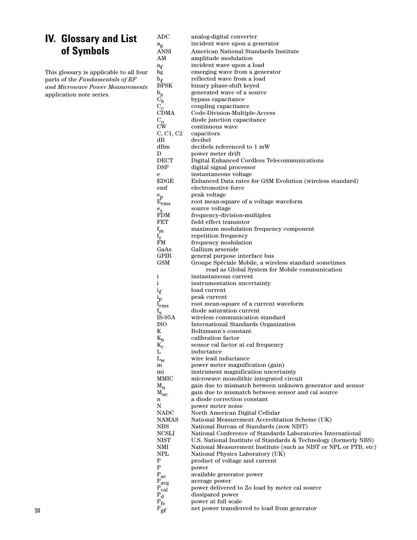# **IV. Glossary and List of Symbols**

This glossary is applicable to all four parts of the *Fundamentals of RF and Microwave Power Measurements* application note series.

| ADC                                      | analog-digital converter                                                                                                             |
|------------------------------------------|--------------------------------------------------------------------------------------------------------------------------------------|
| $a_{\rm g}$                              | incident wave upon a generator                                                                                                       |
| ANSI                                     | American National Standards Institute                                                                                                |
| AM                                       | amplitude modulation                                                                                                                 |
| $a_{\ell}$                               | incident wave upon a load                                                                                                            |
| bg                                       | emerging wave from a generator                                                                                                       |
| $\mathbf{b}_{\boldsymbol{\ell}}$<br>BPSK | reflected wave from a load                                                                                                           |
| $b_{\rm s}$                              | binary phase-shift keyed<br>generated wave of a source                                                                               |
| $C_{\bf b}$                              | bypass capacitance                                                                                                                   |
| $C_{\rm c}$                              | coupling capacitance                                                                                                                 |
| CDMA                                     | Code-Division-Multiple-Access                                                                                                        |
| $C_{\bf o}$                              | diode junction capacitance                                                                                                           |
| $_{\text{CW}}$                           | continuous wave                                                                                                                      |
| C, C1, C2                                | capacitors                                                                                                                           |
| dВ<br>dBm                                | decibel<br>decibels referenced to 1 mW                                                                                               |
| D                                        | power meter drift                                                                                                                    |
| $_{\mathrm{DECT}}$                       | Digital Enhanced Cordless Telecommunications                                                                                         |
| $_{\rm DSP}$                             | digital signal processor                                                                                                             |
| е                                        | instantaneous voltage                                                                                                                |
| EDGE                                     | Enhanced Data rates for GSM Evolution (wireless standard)                                                                            |
| emf                                      | electromotive force                                                                                                                  |
| $e_p$                                    | peak voltage                                                                                                                         |
| ${\rm E_{rms}}$                          | root mean-square of a voltage waveform                                                                                               |
| $\rm e_{s}$<br>FDM                       | source voltage<br>frequency-division-multiplex                                                                                       |
| FET                                      | field effect transistor                                                                                                              |
| $\rm{f}_{m}$                             | maximum modulation frequency component                                                                                               |
| $f_{\rm r}$                              | repetition frequency                                                                                                                 |
| FM                                       | frequency modulation                                                                                                                 |
| GaAs                                     | Gallium arsenide                                                                                                                     |
| GPIB                                     | general purpose interface bus                                                                                                        |
| GSM                                      | Groupe Spêciale Mobile, a wireless standard sometimes                                                                                |
| i                                        | read as Global System for Mobile communication<br>instantaneous current                                                              |
| $\mathbf{i}$                             | instrumentation uncertainty                                                                                                          |
| $\mathfrak{i}_{\ell}$                    | load current                                                                                                                         |
| $i_{\rm p}$                              | peak current                                                                                                                         |
| $\mathbf{l}_{\text{rms}}$                | root mean-square of a current waveform                                                                                               |
| $\rm I_s$                                | diode saturation current                                                                                                             |
| IŠ-95A<br>ISO                            | wireless communication standard                                                                                                      |
| K                                        | International Standards Organization<br>Boltzmann's constant                                                                         |
| $\rm K_b$                                | calibration factor                                                                                                                   |
| $\rm K_c$                                | sensor cal factor at cal frequency                                                                                                   |
| L                                        | inductance                                                                                                                           |
| $L_{\rm W}$                              | wire lead inductance                                                                                                                 |
| m                                        | power meter magnification (gain)                                                                                                     |
| mi                                       | instrument magnification uncertainty                                                                                                 |
| MMIC<br>$M_{\rm u}$                      | microwave monolithic integrated circuit<br>gain due to mismatch between unknown generator and sensor                                 |
| $\text{M}_{\rm uc}$                      | gain due to mismatch between sensor and cal source                                                                                   |
| n                                        | a diode correction constant                                                                                                          |
| N                                        | power meter noise                                                                                                                    |
| NADC                                     | North American Digital Cellular                                                                                                      |
| NAMAS                                    | National Measurement Accreditation Scheme (UK)                                                                                       |
| $_{\rm NBS}$                             | National Bureau of Standards (now NIST)                                                                                              |
| $_{\rm NCSLI}$<br>NIST                   | National Conference of Standards Laboratories International                                                                          |
| NMI                                      | U.S. National Institute of Standards & Technology (formerly NBS)<br>National Measurement Institute (such as NIST or NPL or PTB, etc) |
| NPL                                      | National Physics Laboratory (UK)                                                                                                     |
| Ρ                                        | product of voltage and current                                                                                                       |
| P                                        | power                                                                                                                                |
| $P_{av}$                                 | available generator power                                                                                                            |
| $P_{avg}$                                | average power                                                                                                                        |
| $_{\rm{cal}}$                            | power delivered to Zo load by meter cal source                                                                                       |
| $P_{d}$                                  | dissipated power                                                                                                                     |
| $P_{fs}$                                 | power at full scale<br>net power transferred to load from generator                                                                  |
| $_{\rm g\ell}$                           |                                                                                                                                      |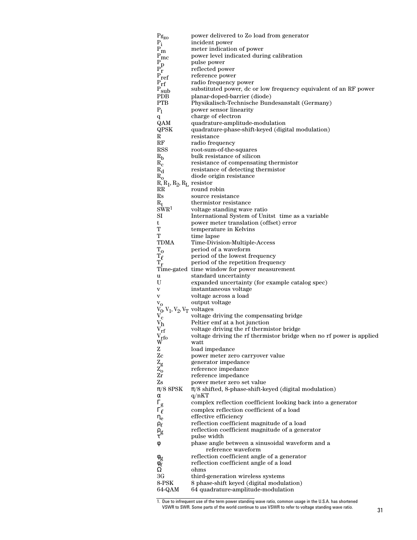| $Pg_{ZO}$                               | power delivered to Zo load from generator                                 |
|-----------------------------------------|---------------------------------------------------------------------------|
| $P_i$                                   | incident power                                                            |
| $\mathbf{P}_{\mathbf{m}}$               | meter indication of power                                                 |
| $\rm P_{\rm I\!P}$                      | power level indicated during calibration                                  |
| $P_{P}$                                 | pulse power                                                               |
|                                         | reflected power                                                           |
| $\rm P_{ref}$                           | reference power<br>radio frequency power                                  |
| $P_{rf}$<br>$P_{sub}$                   | substituted power, dc or low frequency equivalent of an RF power          |
| ${\bf PDB}$                             | planar-doped-barrier (diode)                                              |
| <b>PTB</b>                              | Physikalisch-Technische Bundesanstalt (Germany)                           |
| P <sub>1</sub>                          | power sensor linearity                                                    |
| q                                       | charge of electron                                                        |
| QAM                                     | quadrature-amplitude-modulation                                           |
| QPSK                                    | quadrature-phase-shift-keyed (digital modulation)                         |
| R                                       | resistance                                                                |
| RF                                      | radio frequency                                                           |
| <b>RSS</b>                              | root-sum-of-the-squares                                                   |
| $R_{b}$                                 | bulk resistance of silicon                                                |
| $R_c$                                   | resistance of compensating thermistor                                     |
| $R_{d}$                                 | resistance of detecting thermistor                                        |
| $R_{0}$<br>$R, R_1, R_2, R_L$ resistor  | diode origin resistance                                                   |
| $_{\rm RR}$                             | round robin                                                               |
| $_{\rm Rs}$                             | source resistance                                                         |
| $R_t$                                   | thermistor resistance                                                     |
| SWR <sup>1</sup>                        | voltage standing wave ratio                                               |
| SI                                      | International System of Unitst time as a variable                         |
| t                                       | power meter translation (offset) error                                    |
| т                                       | temperature in Kelvins                                                    |
| т                                       | time lapse                                                                |
| <b>TDMA</b>                             | Time-Division-Multiple-Access                                             |
| $T_{O}$                                 | period of a waveform                                                      |
| $\mathrm{T}_{\ell}$<br>$\mathbf{T_{r}}$ | period of the lowest frequency<br>period of the repetition frequency      |
|                                         | Time-gated time window for power measurement                              |
| u                                       | standard uncertainty                                                      |
| U                                       | expanded uncertainty (for example catalog spec)                           |
| V                                       | instantaneous voltage                                                     |
| $\mathbf{V}$                            | voltage across a load                                                     |
| $V_{O}$                                 | output voltage                                                            |
| $V_0$ , $V_1$ , $V_2$ , $V_T$ voltages  |                                                                           |
| $V_c$                                   | voltage driving the compensating bridge                                   |
| $\rm{V}_h$<br>$\rm v_{rf}$              | Peltier emf at a hot junction<br>voltage driving the rf thermistor bridge |
| $V_{\rm rfo}$                           | voltage driving the rf thermistor bridge when no rf power is applied      |
| W                                       | watt                                                                      |
| Z                                       | load impedance                                                            |
| Zc                                      | power meter zero carryover value                                          |
| $\rm{Z}_{g}$                            | generator impedance                                                       |
| $Z_{\rm o}$                             | reference impedance                                                       |
| Zr                                      | reference impedance                                                       |
| Zs                                      | power meter zero set value                                                |
| $\pi/8$ 8PSK                            | $\pi/8$ shifted, 8-phase-shift-keyed (digital modulation)                 |
| α<br>$\Gamma_{\rm g}$                   | q/nKT<br>complex reflection coefficient looking back into a generator     |
| $\Gamma_{\ell}$                         | complex reflection coefficient of a load                                  |
| $\eta_e$                                | effective efficiency                                                      |
| $\rho_{\ell}$                           | reflection coefficient magnitude of a load                                |
| $\rho_{\rm g}$                          | reflection coefficient magnitude of a generator                           |
| τ                                       | pulse width                                                               |
| φ                                       | phase angle between a sinusoidal waveform and a<br>reference waveform     |
|                                         | reflection coefficient angle of a generator                               |
| $\phi_g$<br>$\phi_{\ell}$               | reflection coefficient angle of a load                                    |
| Ω                                       | ohms                                                                      |
| 3G                                      | third-generation wireless systems                                         |
| 8-PSK                                   | 8 phase-shift keyed (digital modulation)                                  |
| 64-QAM                                  | 64 quadrature-amplitude-modulation                                        |

<sup>1.</sup> Due to infrequent use of the term power standing wave ratio, common usage in the U.S.A. has shortened VSWR to SWR. Some parts of the world continue to use VSWR to refer to voltage standing wave ratio. 31